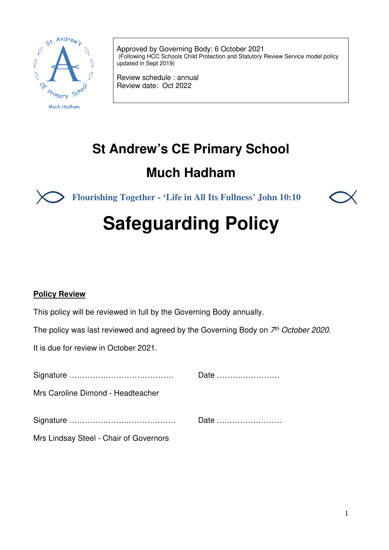

Approved by Governing Body: 6 October 2021 (Following HCC Schools Child Protection and Statutory Review Service model policy updated in Sept 2019)

Review schedule : annual Review date: Oct 2022

## **St Andrew's CE Primary School**

## **Much Hadham**

**Flourishing Together - 'Life in All Its Fullness' John 10:10**



# **Safeguarding Policy**

#### **Policy Review**

This policy will be reviewed in full by the Governing Body annually.

The policy was last reviewed and agreed by the Governing Body on 7<sup>th</sup> October 2020.

It is due for review in October 2021.

|                                        | Date |
|----------------------------------------|------|
| Mrs Caroline Dimond - Headteacher      |      |
|                                        | Date |
| Mrs Lindsay Steel - Chair of Governors |      |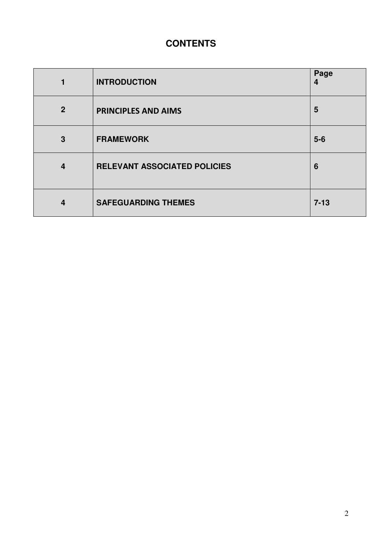### **CONTENTS**

| 1              | <b>INTRODUCTION</b>          | Page<br>4 |
|----------------|------------------------------|-----------|
| $\overline{2}$ | <b>PRINCIPLES AND AIMS</b>   | 5         |
| 3              | <b>FRAMEWORK</b>             | $5-6$     |
| $\overline{4}$ | RELEVANT ASSOCIATED POLICIES | 6         |
| $\overline{4}$ | <b>SAFEGUARDING THEMES</b>   | $7 - 13$  |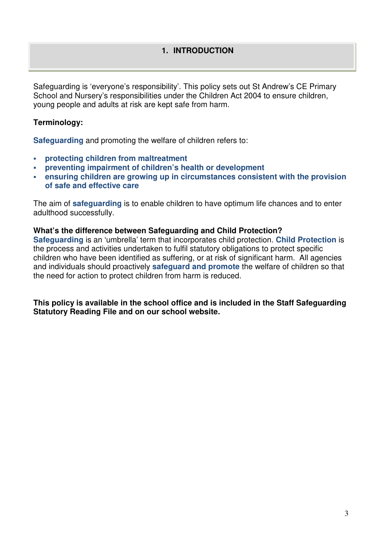#### **1. INTRODUCTION**

Safeguarding is 'everyone's responsibility'. This policy sets out St Andrew's CE Primary School and Nursery's responsibilities under the Children Act 2004 to ensure children, young people and adults at risk are kept safe from harm.

#### **Terminology:**

**Safeguarding** and promoting the welfare of children refers to:

- **protecting children from maltreatment**
- **preventing impairment of children's health or development**
- **ensuring children are growing up in circumstances consistent with the provision of safe and effective care**

The aim of **safeguarding** is to enable children to have optimum life chances and to enter adulthood successfully.

#### **What's the difference between Safeguarding and Child Protection?**

**Safeguarding** is an 'umbrella' term that incorporates child protection. **Child Protection** is the process and activities undertaken to fulfil statutory obligations to protect specific children who have been identified as suffering, or at risk of significant harm. All agencies and individuals should proactively **safeguard and promote** the welfare of children so that the need for action to protect children from harm is reduced.

**This policy is available in the school office and is included in the Staff Safeguarding Statutory Reading File and on our school website.**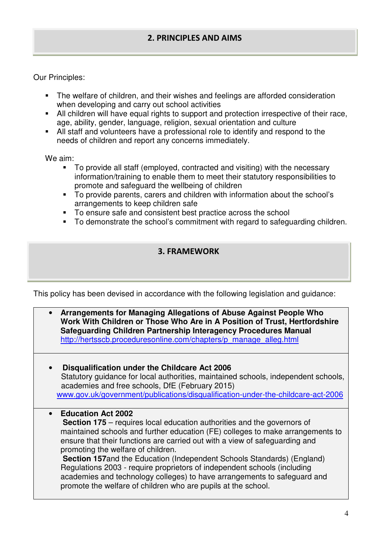#### **2. PRINCIPLES AND AIMS**

Our Principles:

- The welfare of children, and their wishes and feelings are afforded consideration when developing and carry out school activities
- All children will have equal rights to support and protection irrespective of their race, age, ability, gender, language, religion, sexual orientation and culture
- All staff and volunteers have a professional role to identify and respond to the needs of children and report any concerns immediately.

We aim:

- To provide all staff (employed, contracted and visiting) with the necessary information/training to enable them to meet their statutory responsibilities to promote and safeguard the wellbeing of children
- To provide parents, carers and children with information about the school's arrangements to keep children safe
- To ensure safe and consistent best practice across the school
- To demonstrate the school's commitment with regard to safeguarding children.

#### **3. FRAMEWORK**

This policy has been devised in accordance with the following legislation and guidance:

| Arrangements for Managing Allegations of Abuse Against People Who<br>Work With Children or Those Who Are in A Position of Trust, Hertfordshire<br>Safeguarding Children Partnership Interagency Procedures Manual<br>http://hertsscb.proceduresonline.com/chapters/p manage alleg.html                                                                                                                                                                                                                                                                                                                                       |
|------------------------------------------------------------------------------------------------------------------------------------------------------------------------------------------------------------------------------------------------------------------------------------------------------------------------------------------------------------------------------------------------------------------------------------------------------------------------------------------------------------------------------------------------------------------------------------------------------------------------------|
| Disqualification under the Childcare Act 2006<br>Statutory guidance for local authorities, maintained schools, independent schools,<br>academies and free schools, DfE (February 2015)<br>www.gov.uk/government/publications/disqualification-under-the-childcare-act-2006                                                                                                                                                                                                                                                                                                                                                   |
| <b>Education Act 2002</b><br><b>Section 175</b> – requires local education authorities and the governors of<br>maintained schools and further education (FE) colleges to make arrangements to<br>ensure that their functions are carried out with a view of safeguarding and<br>promoting the welfare of children.<br><b>Section 157and the Education (Independent Schools Standards) (England)</b><br>Regulations 2003 - require proprietors of independent schools (including<br>academies and technology colleges) to have arrangements to safeguard and<br>promote the welfare of children who are pupils at the school. |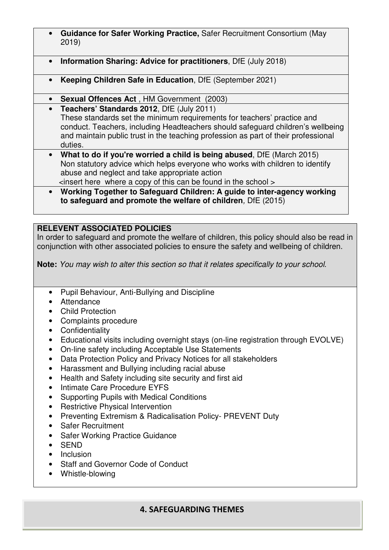- **Guidance for Safer Working Practice,** Safer Recruitment Consortium (May 2019)
- **Information Sharing: Advice for practitioners**, DfE (July 2018)
- **Keeping Children Safe in Education**, DfE (September 2021)
- **Sexual Offences Act** , HM Government (2003)
- **Teachers' Standards 2012**, DfE (July 2011) These standards set the minimum requirements for teachers' practice and conduct. Teachers, including Headteachers should safeguard children's wellbeing and maintain public trust in the teaching profession as part of their professional duties.
- **What to do if you're worried a child is being abused**, DfE (March 2015) Non statutory advice which helps everyone who works with children to identify abuse and neglect and take appropriate action

<insert here where a copy of this can be found in the school >

• **Working Together to Safeguard Children: A guide to inter-agency working to safeguard and promote the welfare of children**, DfE (2015)

#### **RELEVENT ASSOCIATED POLICIES**

In order to safeguard and promote the welfare of children, this policy should also be read in conjunction with other associated policies to ensure the safety and wellbeing of children.

**Note:** You may wish to alter this section so that it relates specifically to your school.

- Pupil Behaviour, Anti-Bullying and Discipline
- Attendance
- Child Protection
- Complaints procedure
- Confidentiality
- Educational visits including overnight stays (on-line registration through EVOLVE)
- On-line safety including Acceptable Use Statements
- Data Protection Policy and Privacy Notices for all stakeholders
- Harassment and Bullying including racial abuse
- Health and Safety including site security and first aid
- Intimate Care Procedure EYFS
- Supporting Pupils with Medical Conditions
- Restrictive Physical Intervention
- Preventing Extremism & Radicalisation Policy- PREVENT Duty
- Safer Recruitment
- Safer Working Practice Guidance
- SEND
- Inclusion
- Staff and Governor Code of Conduct
- Whistle-blowing

#### **4. SAFEGUARDING THEMES**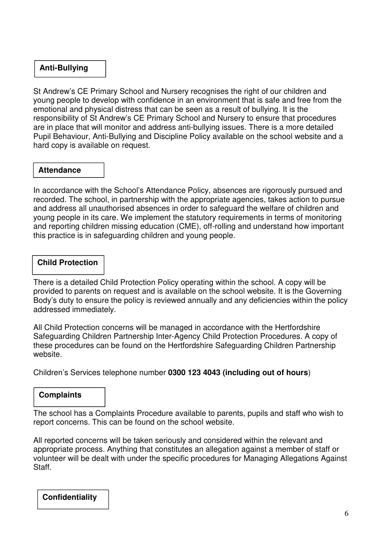#### **Anti-Bullying**

St Andrew's CE Primary School and Nursery recognises the right of our children and young people to develop with confidence in an environment that is safe and free from the emotional and physical distress that can be seen as a result of bullying. It is the responsibility of St Andrew's CE Primary School and Nursery to ensure that procedures are in place that will monitor and address anti-bullying issues. There is a more detailed Pupil Behaviour, Anti-Bullying and Discipline Policy available on the school website and a hard copy is available on request.

#### **Attendance**

In accordance with the School's Attendance Policy, absences are rigorously pursued and recorded. The school, in partnership with the appropriate agencies, takes action to pursue and address all unauthorised absences in order to safeguard the welfare of children and young people in its care. We implement the statutory requirements in terms of monitoring and reporting children missing education (CME), off-rolling and understand how important this practice is in safeguarding children and young people.

#### **Child Protection**

There is a detailed Child Protection Policy operating within the school. A copy will be provided to parents on request and is available on the school website. It is the Governing Body's duty to ensure the policy is reviewed annually and any deficiencies within the policy addressed immediately.

All Child Protection concerns will be managed in accordance with the Hertfordshire Safeguarding Children Partnership Inter-Agency Child Protection Procedures. A copy of these procedures can be found on the Hertfordshire Safeguarding Children Partnership website.

Children's Services telephone number **0300 123 4043 (including out of hours**)

#### **Complaints**

The school has a Complaints Procedure available to parents, pupils and staff who wish to report concerns. This can be found on the school website.

All reported concerns will be taken seriously and considered within the relevant and appropriate process. Anything that constitutes an allegation against a member of staff or volunteer will be dealt with under the specific procedures for Managing Allegations Against Staff.

**Confidentiality**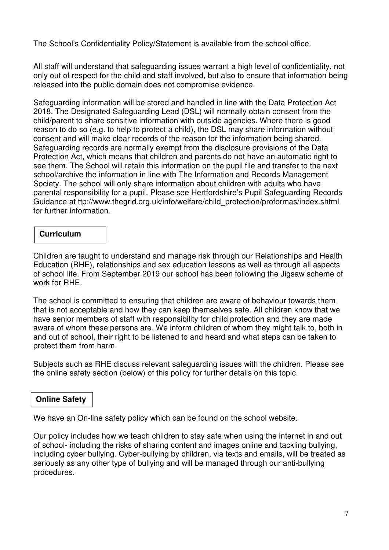The School's Confidentiality Policy/Statement is available from the school office.

All staff will understand that safeguarding issues warrant a high level of confidentiality, not only out of respect for the child and staff involved, but also to ensure that information being released into the public domain does not compromise evidence.

Safeguarding information will be stored and handled in line with the Data Protection Act 2018. The Designated Safeguarding Lead (DSL) will normally obtain consent from the child/parent to share sensitive information with outside agencies. Where there is good reason to do so (e.g. to help to protect a child), the DSL may share information without consent and will make clear records of the reason for the information being shared. Safeguarding records are normally exempt from the disclosure provisions of the Data Protection Act, which means that children and parents do not have an automatic right to see them. The School will retain this information on the pupil file and transfer to the next school/archive the information in line with The Information and Records Management Society. The school will only share information about children with adults who have parental responsibility for a pupil. Please see Hertfordshire's Pupil Safeguarding Records Guidance at ttp://www.thegrid.org.uk/info/welfare/child\_protection/proformas/index.shtml for further information.

#### **Curriculum**

Children are taught to understand and manage risk through our Relationships and Health Education (RHE), relationships and sex education lessons as well as through all aspects of school life. From September 2019 our school has been following the Jigsaw scheme of work for RHE.

The school is committed to ensuring that children are aware of behaviour towards them that is not acceptable and how they can keep themselves safe. All children know that we have senior members of staff with responsibility for child protection and they are made aware of whom these persons are. We inform children of whom they might talk to, both in and out of school, their right to be listened to and heard and what steps can be taken to protect them from harm.

Subjects such as RHE discuss relevant safeguarding issues with the children. Please see the online safety section (below) of this policy for further details on this topic.

#### **Online Safety**

We have an On-line safety policy which can be found on the school website.

Our policy includes how we teach children to stay safe when using the internet in and out of school- including the risks of sharing content and images online and tackling bullying, including cyber bullying. Cyber-bullying by children, via texts and emails, will be treated as seriously as any other type of bullying and will be managed through our anti-bullying procedures.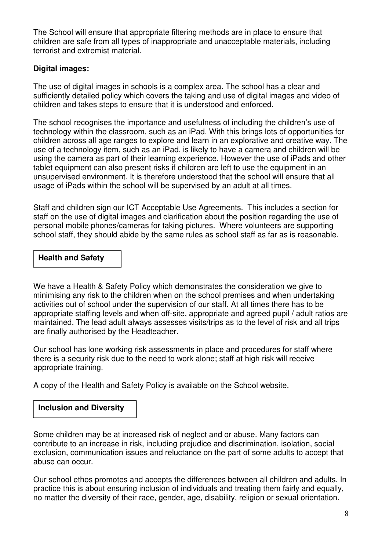The School will ensure that appropriate filtering methods are in place to ensure that children are safe from all types of inappropriate and unacceptable materials, including terrorist and extremist material.

#### **Digital images:**

The use of digital images in schools is a complex area. The school has a clear and sufficiently detailed policy which covers the taking and use of digital images and video of children and takes steps to ensure that it is understood and enforced.

The school recognises the importance and usefulness of including the children's use of technology within the classroom, such as an iPad. With this brings lots of opportunities for children across all age ranges to explore and learn in an explorative and creative way. The use of a technology item, such as an iPad, is likely to have a camera and children will be using the camera as part of their learning experience. However the use of iPads and other tablet equipment can also present risks if children are left to use the equipment in an unsupervised environment. It is therefore understood that the school will ensure that all usage of iPads within the school will be supervised by an adult at all times.

Staff and children sign our ICT Acceptable Use Agreements. This includes a section for staff on the use of digital images and clarification about the position regarding the use of personal mobile phones/cameras for taking pictures. Where volunteers are supporting school staff, they should abide by the same rules as school staff as far as is reasonable.

#### **Health and Safety**

We have a Health & Safety Policy which demonstrates the consideration we give to minimising any risk to the children when on the school premises and when undertaking activities out of school under the supervision of our staff. At all times there has to be appropriate staffing levels and when off-site, appropriate and agreed pupil / adult ratios are maintained. The lead adult always assesses visits/trips as to the level of risk and all trips are finally authorised by the Headteacher.

Our school has lone working risk assessments in place and procedures for staff where there is a security risk due to the need to work alone; staff at high risk will receive appropriate training.

A copy of the Health and Safety Policy is available on the School website.

#### **Inclusion and Diversity**

Some children may be at increased risk of neglect and or abuse. Many factors can contribute to an increase in risk, including prejudice and discrimination, isolation, social exclusion, communication issues and reluctance on the part of some adults to accept that abuse can occur.

Our school ethos promotes and accepts the differences between all children and adults. In practice this is about ensuring inclusion of individuals and treating them fairly and equally, no matter the diversity of their race, gender, age, disability, religion or sexual orientation.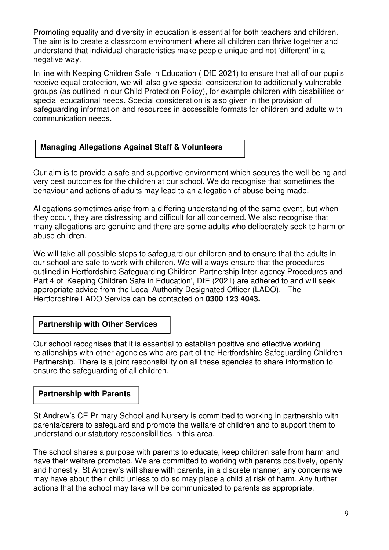Promoting equality and diversity in education is essential for both teachers and children. The aim is to create a classroom environment where all children can thrive together and understand that individual characteristics make people unique and not 'different' in a negative way.

In line with Keeping Children Safe in Education ( DfE 2021) to ensure that all of our pupils receive equal protection, we will also give special consideration to additionally vulnerable groups (as outlined in our Child Protection Policy), for example children with disabilities or special educational needs. Special consideration is also given in the provision of safeguarding information and resources in accessible formats for children and adults with communication needs.

#### **Managing Allegations Against Staff & Volunteers**

Our aim is to provide a safe and supportive environment which secures the well-being and very best outcomes for the children at our school. We do recognise that sometimes the behaviour and actions of adults may lead to an allegation of abuse being made.

Allegations sometimes arise from a differing understanding of the same event, but when they occur, they are distressing and difficult for all concerned. We also recognise that many allegations are genuine and there are some adults who deliberately seek to harm or abuse children.

We will take all possible steps to safeguard our children and to ensure that the adults in our school are safe to work with children. We will always ensure that the procedures outlined in Hertfordshire Safeguarding Children Partnership Inter-agency Procedures and Part 4 of 'Keeping Children Safe in Education', DfE (2021) are adhered to and will seek appropriate advice from the Local Authority Designated Officer (LADO). The Hertfordshire LADO Service can be contacted on **0300 123 4043.**

#### **Partnership with Other Services**

Our school recognises that it is essential to establish positive and effective working relationships with other agencies who are part of the Hertfordshire Safeguarding Children Partnership. There is a joint responsibility on all these agencies to share information to ensure the safeguarding of all children.

#### **Partnership with Parents**

partners in the control of

St Andrew's CE Primary School and Nursery is committed to working in partnership with parents/carers to safeguard and promote the welfare of children and to support them to understand our statutory responsibilities in this area.

The school shares a purpose with parents to educate, keep children safe from harm and have their welfare promoted. We are committed to working with parents positively, openly and honestly. St Andrew's will share with parents, in a discrete manner, any concerns we may have about their child unless to do so may place a child at risk of harm. Any further actions that the school may take will be communicated to parents as appropriate.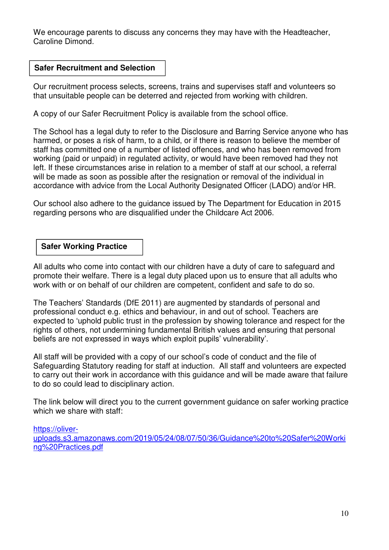We encourage parents to discuss any concerns they may have with the Headteacher, Caroline Dimond.

#### **Safer Recruitment and Selection**

Our recruitment process selects, screens, trains and supervises staff and volunteers so that unsuitable people can be deterred and rejected from working with children.

A copy of our Safer Recruitment Policy is available from the school office.

The School has a legal duty to refer to the Disclosure and Barring Service anyone who has harmed, or poses a risk of harm, to a child, or if there is reason to believe the member of staff has committed one of a number of listed offences, and who has been removed from working (paid or unpaid) in regulated activity, or would have been removed had they not left. If these circumstances arise in relation to a member of staff at our school, a referral will be made as soon as possible after the resignation or removal of the individual in accordance with advice from the Local Authority Designated Officer (LADO) and/or HR.

Our school also adhere to the guidance issued by The Department for Education in 2015 regarding persons who are disqualified under the Childcare Act 2006.

#### **Safer Working Practice**

All adults who come into contact with our children have a duty of care to safeguard and promote their welfare. There is a legal duty placed upon us to ensure that all adults who work with or on behalf of our children are competent, confident and safe to do so.

The Teachers' Standards (DfE 2011) are augmented by standards of personal and professional conduct e.g. ethics and behaviour, in and out of school. Teachers are expected to 'uphold public trust in the profession by showing tolerance and respect for the rights of others, not undermining fundamental British values and ensuring that personal beliefs are not expressed in ways which exploit pupils' vulnerability'.

All staff will be provided with a copy of our school's code of conduct and the file of Safeguarding Statutory reading for staff at induction. All staff and volunteers are expected to carry out their work in accordance with this guidance and will be made aware that failure to do so could lead to disciplinary action.

The link below will direct you to the current government guidance on safer working practice which we share with staff:

https://oliveruploads.s3.amazonaws.com/2019/05/24/08/07/50/36/Guidance%20to%20Safer%20Worki ng%20Practices.pdf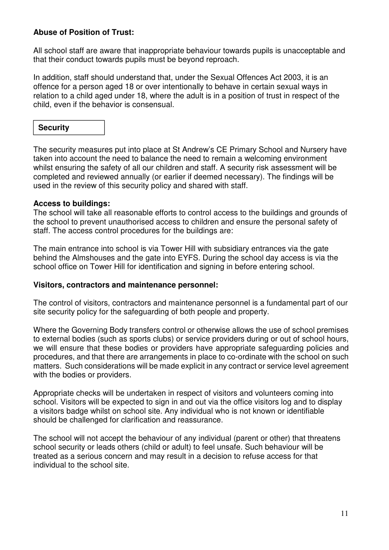#### **Abuse of Position of Trust:**

All school staff are aware that inappropriate behaviour towards pupils is unacceptable and that their conduct towards pupils must be beyond reproach.

In addition, staff should understand that, under the Sexual Offences Act 2003, it is an offence for a person aged 18 or over intentionally to behave in certain sexual ways in relation to a child aged under 18, where the adult is in a position of trust in respect of the child, even if the behavior is consensual.

#### **Security**

The security measures put into place at St Andrew's CE Primary School and Nursery have taken into account the need to balance the need to remain a welcoming environment whilst ensuring the safety of all our children and staff. A security risk assessment will be completed and reviewed annually (or earlier if deemed necessary). The findings will be used in the review of this security policy and shared with staff.

#### **Access to buildings:**

The school will take all reasonable efforts to control access to the buildings and grounds of the school to prevent unauthorised access to children and ensure the personal safety of staff. The access control procedures for the buildings are:

The main entrance into school is via Tower Hill with subsidiary entrances via the gate behind the Almshouses and the gate into EYFS. During the school day access is via the school office on Tower Hill for identification and signing in before entering school.

#### **Visitors, contractors and maintenance personnel:**

The control of visitors, contractors and maintenance personnel is a fundamental part of our site security policy for the safeguarding of both people and property.

Where the Governing Body transfers control or otherwise allows the use of school premises to external bodies (such as sports clubs) or service providers during or out of school hours, we will ensure that these bodies or providers have appropriate safeguarding policies and procedures, and that there are arrangements in place to co-ordinate with the school on such matters. Such considerations will be made explicit in any contract or service level agreement with the bodies or providers.

Appropriate checks will be undertaken in respect of visitors and volunteers coming into school. Visitors will be expected to sign in and out via the office visitors log and to display a visitors badge whilst on school site. Any individual who is not known or identifiable should be challenged for clarification and reassurance.

The school will not accept the behaviour of any individual (parent or other) that threatens school security or leads others (child or adult) to feel unsafe. Such behaviour will be treated as a serious concern and may result in a decision to refuse access for that individual to the school site.